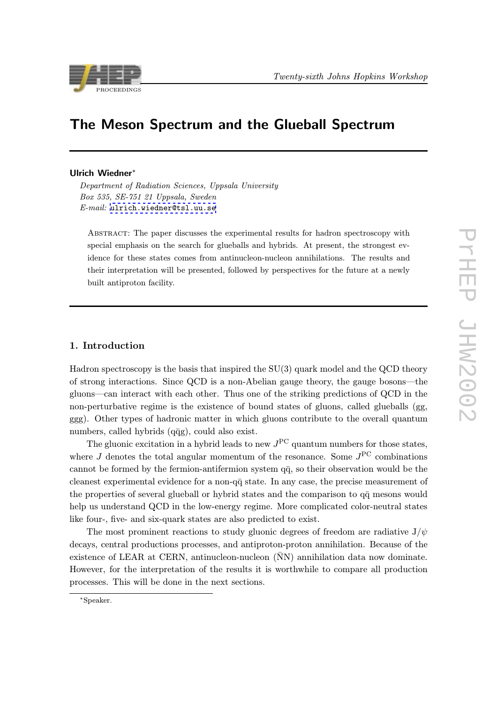

# The Meson Spectrum and the Glueball Spectrum

#### Ulrich Wiedner<sup>∗</sup>

Department of Radiation Sciences, Uppsala University Box 535, SE-751 21 Uppsala, Sweden  $E-mail:$  ulrich.wiedner@tsl.uu.se

Abstract: The paper discusses the experimental results for hadron spectroscopy with specia[l emphasis on the search for](mailto:ulrich.wiedner@tsl.uu.se) glueballs and hybrids. At present, the strongest evidence for these states comes from antinucleon-nucleon annihilations. The results and their interpretation will be presented, followed by perspectives for the future at a newly built antiproton facility.

#### 1. Introduction

Hadron spectroscopy is the basis that inspired the  $SU(3)$  quark model and the QCD theory of strong interactions. Since QCD is a non-Abelian gauge theory, the gauge bosons—the gluons—can interact with each other. Thus one of the striking predictions of QCD in the non-perturbative regime is the existence of bound states of gluons, called glueballs (gg, ggg). Other types of hadronic matter in which gluons contribute to the overall quantum numbers, called hybrids  $(q\bar{q}g)$ , could also exist.

The gluonic excitation in a hybrid leads to new  $J^{PC}$  quantum numbers for those states, where  $J$  denotes the total angular momentum of the resonance. Some  $J^{PC}$  combinations cannot be formed by the fermion-antifermion system  $q\bar{q}$ , so their observation would be the cleanest experimental evidence for a non- $q\bar{q}$  state. In any case, the precise measurement of the properties of several glueball or hybrid states and the comparison to  $q\bar{q}$  mesons would help us understand QCD in the low-energy regime. More complicated color-neutral states like four-, five- and six-quark states are also predicted to exist.

The most prominent reactions to study gluonic degrees of freedom are radiative  $J/\psi$ decays, central productions processes, and antiproton-proton annihilation. Because of the existence of LEAR at CERN, antinucleon-nucleon  $(NN)$  annihilation data now dominate. However, for the interpretation of the results it is worthwhile to compare all production processes. This will be done in the next sections.

<sup>∗</sup>Speaker.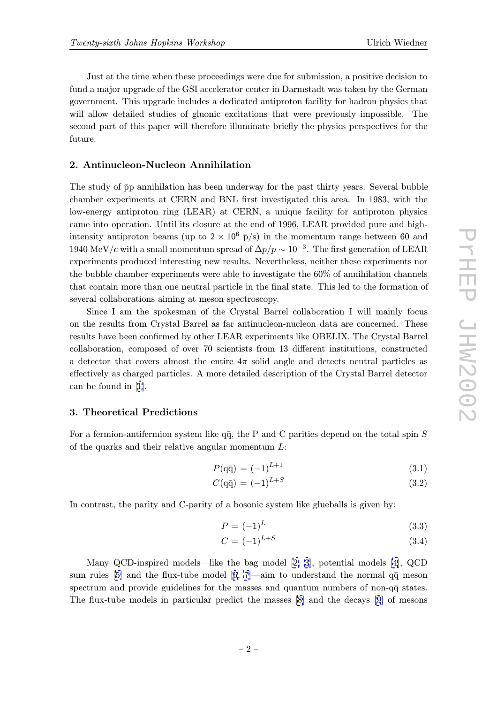Just at the time when these proceedings were due for submission, a positive decision to fund a major upgrade of the GSI accelerator center in Darmstadt was taken by the German government. This upgrade includes a dedicated antiproton facility for hadron physics that will allow detailed studies of gluonic excitations that were previously impossible. The second part of this paper will therefore illuminate briefly the physics perspectives for the future.

#### 2. Antinucleon-Nucleon Annihilation

The study of  $\bar{p}p$  annihilation has been underway for the past thirty years. Several bubble chamber experiments at CERN and BNL first investigated this area. In 1983, with the low-energy antiproton ring (LEAR) at CERN, a unique facility for antiproton physics came into operation. Until its closure at the end of 1996, LEAR provided pure and highintensity antiproton beams (up to  $2 \times 10^6$  p/s) in the momentum range between 60 and 1940 MeV/c with a small momentum spread of  $\Delta p/p \sim 10^{-3}$ . The first generation of LEAR experiments produced interesting new results. Nevertheless, neither these experiments nor the bubble chamber experiments were able to investigate the 60% of annihilation channels that contain more than one neutral particle in the final state. This led to the formation of several collaborations aiming at meson spectroscopy.

Since I am the spokesman of the Crystal Barrel collaboration I will mainly focus on the results from Crystal Barrel as far antinucleon-nucleon data are concerned. These results have been confirmed by other LEAR experiments like OBELIX. The Crystal Barrel collaboration, composed of over 70 scientists from 13 different institutions, constructed a detector that covers almost the entire  $4\pi$  solid angle and detects neutral particles as effectively as charged particles. A more detailed description of the Crystal Barrel detector can be found in [1].

#### 3. Theoretical Predictions

For a fermion-an[tif](#page-9-0)ermion system like  $q\bar{q}$ , the P and C parities depend on the total spin S of the quarks and their relative angular momentum  $L$ :

$$
P(\mathbf{q}\bar{\mathbf{q}}) = (-1)^{L+1} \tag{3.1}
$$

$$
C(\mathbf{q}\bar{\mathbf{q}}) = (-1)^{L+S} \tag{3.2}
$$

In contrast, the parity and C-parity of a bosonic system like glueballs is given by:

$$
P = (-1)^L \tag{3.3}
$$

$$
C = (-1)^{L+S} \tag{3.4}
$$

Many QCD-inspired models—like the bag model [2, 3], potential models [4], QCD sum rules [5] and the flux-tube model [6, 7]—aim to understand the normal  $q\bar{q}$  meson spectrum and provide guidelines for the masses and quantum numbers of non- $q\bar{q}$  states. The flux-tube models in particular predict the masses [\[8](#page-9-0)] [a](#page-9-0)nd the decays [9] o[f](#page-9-0) mesons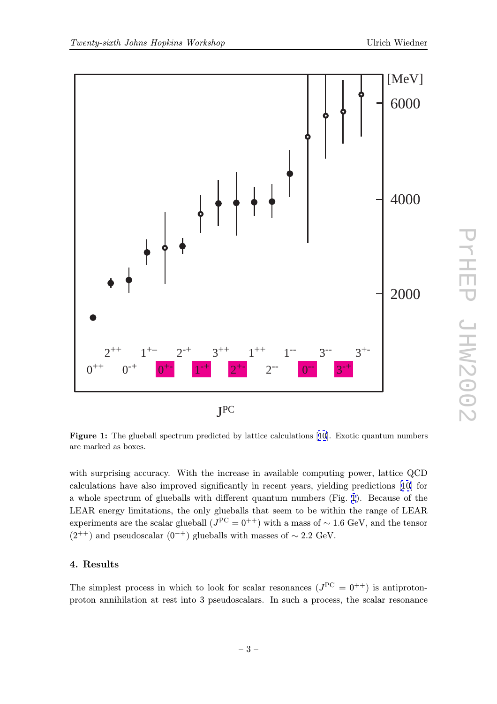<span id="page-2-0"></span>

Figure 1: The glueball spectrum predicted by lattice calculations [10]. Exotic quantum numbers are marked as boxes.

with surprising accuracy. With the increase in available co[mpu](#page-9-0)ting power, lattice QCD calculations have also improved significantly in recent years, yielding predictions [10] for a whole spectrum of glueballs with different quantum numbers (Fig. 1). Because of the LEAR energy limitations, the only glueballs that seem to be within the range of LEAR experiments are the scalar glueball  $(J<sup>PC</sup> = 0<sup>++</sup>)$  with a mass of ~ 1.6 GeV, and the [te](#page-9-0)nsor  $(2^{++})$  and pseudoscalar  $(0^{-+})$  glueballs with masses of ~ 2.2 GeV.

#### 4. Results

The simplest process in which to look for scalar resonances  $(J^{PC} = 0^{++})$  is antiprotonproton annihilation at rest into 3 pseudoscalars. In such a process, the scalar resonance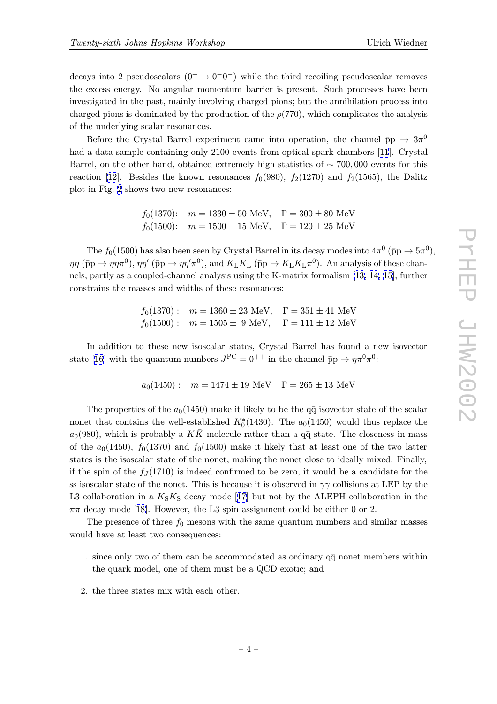decays into 2 pseudoscalars  $(0^+ \rightarrow 0^-0^-)$  while the third recoiling pseudoscalar removes the excess energy. No angular momentum barrier is present. Such processes have been investigated in the past, mainly involving charged pions; but the annihilation process into charged pions is dominated by the production of the  $\rho(770)$ , which complicates the analysis of the underlying scalar resonances.

Before the Crystal Barrel experiment came into operation, the channel  $\bar{p}p \rightarrow 3\pi^0$ had a data sample containing only 2100 events from optical spark chambers [11]. Crystal Barrel, on the other hand, obtained extremely high statistics of ∼ 700, 000 events for this reaction [12]. Besides the known resonances  $f_0(980)$ ,  $f_2(1270)$  and  $f_2(1565)$ , the Dalitz plot in Fig. 2 shows two new resonances:

> $f_0(1370)$ :  $m = 1330 \pm 50$  MeV,  $\Gamma = 300 \pm 80$  MeV  $f_0(1500)$ :  $m = 1500 \pm 15$  MeV,  $\Gamma = 120 \pm 25$  MeV

The  $f_0(1500)$  has also been seen by Crystal Barrel in its decay modes into  $4\pi^0$  ( $\bar{p}p \to 5\pi^0$ ),  $\eta\eta$  ( $\bar{p}p \to \eta\eta\pi^0$ ),  $\eta\eta'$  ( $\bar{p}p \to \eta\eta'\pi^0$ ), and  $K_LK_L$  ( $\bar{p}p \to K_LK_L\pi^0$ ). An analysis of these channels, partly as a coupled-channel analysis using the K-matrix formalism [13, 14, 15], further constrains the masses and widths of these resonances:

> $f_0(1370)$ :  $m = 1360 \pm 23$  MeV,  $\Gamma = 351 \pm 41$  MeV  $f_0(1500)$ :  $m = 1505 \pm 9$  Me[V](#page-9-0),  $\Gamma = 111 \pm 12$  MeV

In addition to these new isoscalar states, Crystal Barrel has found a new isovector state [16] with the quantum numbers  $J^{PC} = 0^{++}$  in the channel  $\bar{p}p \to \eta \pi^0 \pi^0$ :

$$
a_0(1450):
$$
  $m = 1474 \pm 19$  MeV  $\Gamma = 265 \pm 13$  MeV

T[he](#page-9-0) properties of the  $a_0(1450)$  make it likely to be the q $\bar{q}$  isovector state of the scalar nonet that contains the well-established  $K_0^*(1430)$ . The  $a_0(1450)$  would thus replace the  $a_0(980)$ , which is probably a KK molecule rather than a q $\bar{q}$  state. The closeness in mass of the  $a_0(1450)$ ,  $f_0(1370)$  and  $f_0(1500)$  make it likely that at least one of the two latter states is the isoscalar state of the nonet, making the nonet close to ideally mixed. Finally, if the spin of the  $f_J(1710)$  is indeed confirmed to be zero, it would be a candidate for the ss isoscalar state of the nonet. This is because it is observed in  $\gamma\gamma$  collisions at LEP by the L3 collaboration in a  $K_S K_S$  decay mode [17] but not by the ALEPH collaboration in the  $\pi\pi$  decay mode [18]. However, the L3 spin assignment could be either 0 or 2.

The presence of three  $f_0$  mesons with the same quantum numbers and similar masses would have at least two consequences:

- 1. since only [two](#page-9-0) of them can be accommodated as ordinary  $q\bar{q}$  nonet members within the quark model, one of them must be a QCD exotic; and
- 2. the three states mix with each other.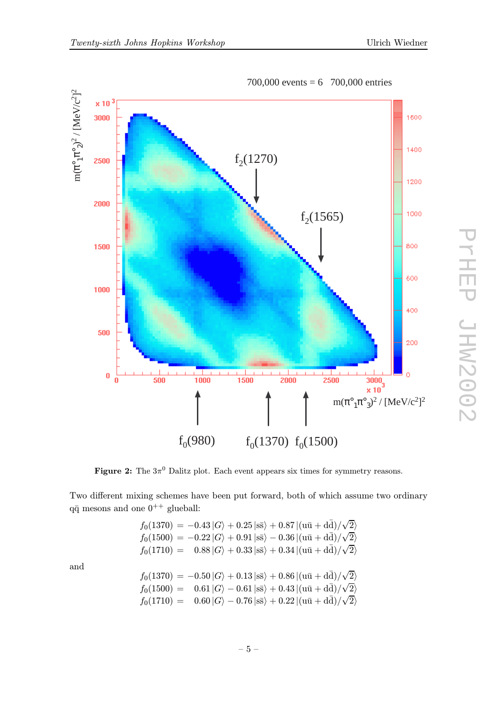

700,000 events = 6 700,000 entries

Figure 2: The  $3\pi^0$  Dalitz plot. Each event appears six times for symmetry reasons.

Two different mixing schemes have been put forward, both of which assume two ordinary q $\bar{q}$  mesons and one  $0^{++}$  glueball:

$$
f_0(1370) = -0.43 |G\rangle + 0.25 |s\bar{s}\rangle + 0.87 |(u\bar{u} + d\bar{d})/\sqrt{2}\rangle
$$
  
\n
$$
f_0(1500) = -0.22 |G\rangle + 0.91 |s\bar{s}\rangle - 0.36 |(u\bar{u} + d\bar{d})/\sqrt{2}\rangle
$$
  
\n
$$
f_0(1710) = 0.88 |G\rangle + 0.33 |s\bar{s}\rangle + 0.34 |(u\bar{u} + d\bar{d})/\sqrt{2}\rangle
$$
  
\n
$$
f_0(1370) = -0.50 |G\rangle + 0.13 |s\bar{s}\rangle + 0.86 |(u\bar{u} + d\bar{d})/\sqrt{2}\rangle
$$
  
\n
$$
f_0(1500) = 0.61 |G\rangle - 0.61 |s\bar{s}\rangle + 0.43 |(u\bar{u} + d\bar{d})/\sqrt{2}\rangle
$$
  
\n
$$
f_0(1710) = 0.60 |G\rangle - 0.76 |s\bar{s}\rangle + 0.22 |(u\bar{u} + d\bar{d})/\sqrt{2}\rangle
$$

and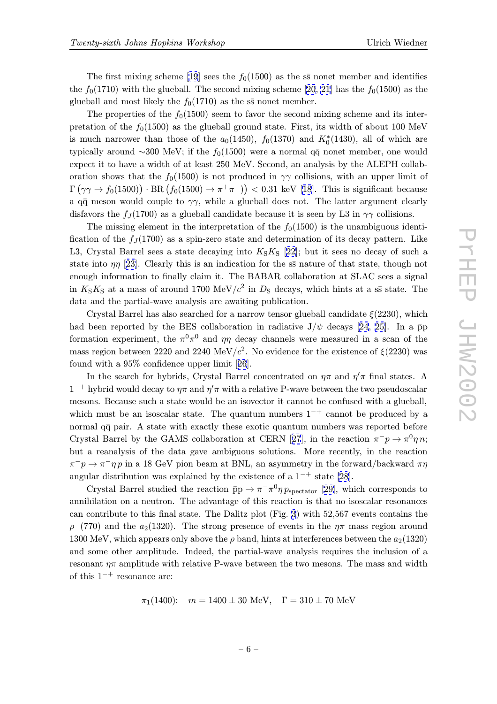The first mixing scheme [19] sees the  $f_0(1500)$  as the ss nonet member and identifies the  $f_0(1710)$  with the glueball. The second mixing scheme [20, 21] has the  $f_0(1500)$  as the glueball and most likely the  $f_0(1710)$  as the ss nonet member.

The properties of the  $f_0(1500)$  $f_0(1500)$  $f_0(1500)$  seem to favor the second mixing scheme and its interpretation of the  $f_0(1500)$  as the glueball ground state. Fir[st,](#page-9-0) i[ts w](#page-9-0)idth of about 100 MeV is much narrower than those of the  $a_0(1450)$ ,  $f_0(1370)$  and  $K_0^*(1430)$ , all of which are typically around ~300 MeV; if the  $f_0(1500)$  were a normal q $\bar{q}$  nonet member, one would expect it to have a width of at least 250 MeV. Second, an analysis by the ALEPH collaboration shows that the  $f_0(1500)$  is not produced in  $\gamma\gamma$  collisions, with an upper limit of  $\Gamma(\gamma\gamma \to f_0(1500)) \cdot \text{BR}(f_0(1500) \to \pi^+\pi^-)) < 0.31 \text{ keV [18].}$  This is significant because a q $\bar{q}$  meson would couple to  $\gamma\gamma$ , while a glueball does not. The latter argument clearly disfavors the  $f_J(1700)$  as a glueball candidate because it is seen by L3 in  $\gamma\gamma$  collisions.

The missing element in the interpretation of the  $f_0(1500)$  $f_0(1500)$  $f_0(1500)$  is the unambiguous identification of the  $f_J(1700)$  as a spin-zero state and determination of its decay pattern. Like L3, Crystal Barrel sees a state decaying into  $K_S K_S$  [22]; but it sees no decay of such a state into  $\eta\eta$  [23]. Clearly this is an indication for the ss nature of that state, though not enough information to finally claim it. The BABAR collaboration at SLAC sees a signal in  $K_S K_S$  at a mass of around 1700 MeV/ $c^2$  in  $D_S$  de[cay](#page-9-0)s, which hints at a ss state. The data and the [par](#page-10-0)tial-wave analysis are awaiting publication.

Crystal Barrel has also searched for a narrow tensor glueball candidate  $\xi(2230)$ , which had been reported by the BES collaboration in radiative  $J/\psi$  decays [24, 25]. In a  $\bar{p}p$ formation experiment, the  $\pi^0 \pi^0$  and  $\eta \eta$  decay channels were measured in a scan of the mass region between 2220 and 2240 MeV/ $c^2$ . No evidence for the existence of  $\xi(2230)$  was found with a 95% confidence upper limit [26].

In the search for hybrids, Crystal Barrel concentrated on  $\eta\pi$  and  $\eta'\pi$  fi[nal](#page-10-0) states. A  $1^{-+}$  hybrid would decay to  $\eta\pi$  and  $\eta'\pi$  with a relative P-wave between the two pseudoscalar mesons. Because such a state would be an [iso](#page-10-0)vector it cannot be confused with a glueball, which must be an isoscalar state. The quantum numbers  $1^{-+}$  cannot be produced by a normal  $q\bar{q}$  pair. A state with exactly these exotic quantum numbers was reported before Crystal Barrel by the GAMS collaboration at CERN [27], in the reaction  $\pi^-p \to \pi^0 \eta n$ ; but a reanalysis of the data gave ambiguous solutions. More recently, in the reaction  $\pi^-p \to \pi^- \eta p$  in a 18 GeV pion beam at BNL, an asymmetry in the forward/backward  $\pi \eta$ angular distribution was explained by the existence of a  $1^{-+}$  state [28].

Crystal Barrel studied the reaction  $\bar{p}p \to \pi^- \pi^0 \eta p_{\text{spectator}}$  [29], which corresponds to annihilation on a neutron. The advantage of this reaction is that no isoscalar resonances can contribute to this final state. The Dalitz plot (Fig. 3) with 52,[567](#page-10-0) events contains the  $\rho^-(770)$  and t[he](#page-10-0)  $a_2(1320)$ . The strong presence of events in the  $\eta\pi$  mass region around 1300 MeV, which appears only above the  $\rho$  band, hints at interferences between the  $a_2(1320)$ and some other amplitude. Indeed, the partial-wave a[n](#page-6-0)alysis requires the inclusion of a resonant  $\eta\pi$  amplitude with relative P-wave between the two mesons. The mass and width of this  $1^{-+}$  resonance are:

$$
\pi_1(1400):
$$
  $m = 1400 \pm 30$  MeV,  $\Gamma = 310 \pm 70$  MeV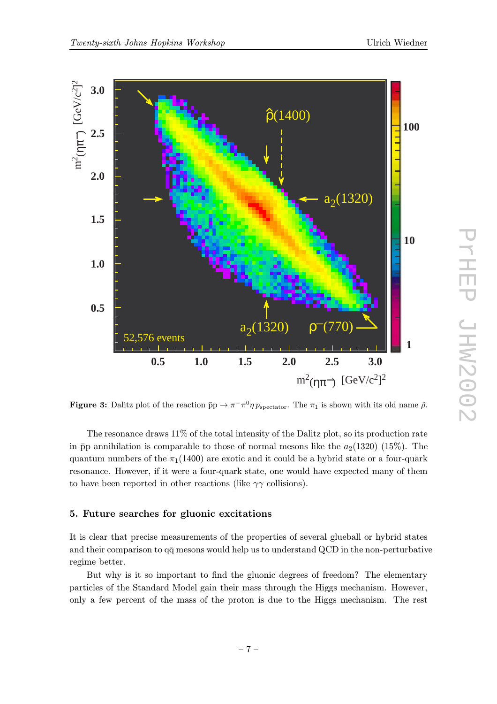<span id="page-6-0"></span>

**Figure 3:** Dalitz plot of the reaction  $\bar{p}p \to \pi^{-}\pi^{0}\eta p_{\text{spectator}}$ . The  $\pi_1$  is shown with its old name  $\hat{\rho}$ .

The resonance draws 11% of the total intensity of the Dalitz plot, so its production rate in  $\bar{p}p$  annihilation is comparable to those of normal mesons like the  $a_2(1320)$  (15%). The quantum numbers of the  $\pi_1(1400)$  are exotic and it could be a hybrid state or a four-quark resonance. However, if it were a four-quark state, one would have expected many of them to have been reported in other reactions (like  $\gamma\gamma$  collisions).

#### 5. Future searches for gluonic excitations

It is clear that precise measurements of the properties of several glueball or hybrid states and their comparison to  $q\bar{q}$  mesons would help us to understand QCD in the non-perturbative regime better.

But why is it so important to find the gluonic degrees of freedom? The elementary particles of the Standard Model gain their mass through the Higgs mechanism. However, only a few percent of the mass of the proton is due to the Higgs mechanism. The rest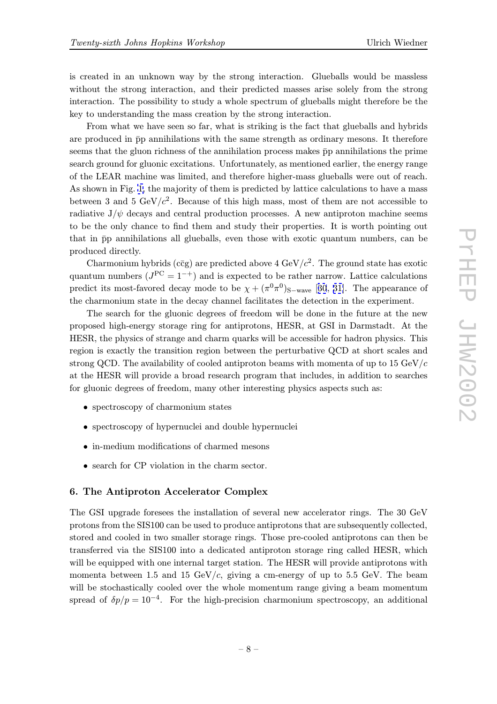is created in an unknown way by the strong interaction. Glueballs would be massless without the strong interaction, and their predicted masses arise solely from the strong interaction. The possibility to study a whole spectrum of glueballs might therefore be the key to understanding the mass creation by the strong interaction.

From what we have seen so far, what is striking is the fact that glueballs and hybrids are produced in  $\bar{p}p$  annihilations with the same strength as ordinary mesons. It therefore seems that the gluon richness of the annihilation process makes  $\bar{p}p$  annihilations the prime search ground for gluonic excitations. Unfortunately, as mentioned earlier, the energy range of the LEAR machine was limited, and therefore higher-mass glueballs were out of reach. As shown in Fig. 1, the majority of them is predicted by lattice calculations to have a mass between 3 and 5  $GeV/c^2$ . Because of this high mass, most of them are not accessible to radiative  $J/\psi$  decays and central production processes. A new antiproton machine seems to be the only c[ha](#page-2-0)nce to find them and study their properties. It is worth pointing out that in  $\bar{p}p$  annihilations all glueballs, even those with exotic quantum numbers, can be produced directly.

Charmonium hybrids (c $\bar{c}g$ ) are predicted above 4 GeV/ $c^2$ . The ground state has exotic quantum numbers ( $J^{PC} = 1^{-+}$ ) and is expected to be rather narrow. Lattice calculations predict its most-favored decay mode to be  $\chi + (\pi^0 \pi^0)_{S-wave}$  [30, 31]. The appearance of the charmonium state in the decay channel facilitates the detection in the experiment.

The search for the gluonic degrees of freedom will be done in the future at the new proposed high-energy storage ring for antiprotons, HESR, at [GSI in](#page-10-0) Darmstadt. At the HESR, the physics of strange and charm quarks will be accessible for hadron physics. This region is exactly the transition region between the perturbative QCD at short scales and strong QCD. The availability of cooled antiproton beams with momenta of up to  $15 \text{ GeV}/c$ at the HESR will provide a broad research program that includes, in addition to searches for gluonic degrees of freedom, many other interesting physics aspects such as:

- spectroscopy of charmonium states
- spectroscopy of hypernuclei and double hypernuclei
- in-medium modifications of charmed mesons
- search for CP violation in the charm sector.

#### 6. The Antiproton Accelerator Complex

The GSI upgrade foresees the installation of several new accelerator rings. The 30 GeV protons from the SIS100 can be used to produce antiprotons that are subsequently collected, stored and cooled in two smaller storage rings. Those pre-cooled antiprotons can then be transferred via the SIS100 into a dedicated antiproton storage ring called HESR, which will be equipped with one internal target station. The HESR will provide antiprotons with momenta between 1.5 and 15 GeV/ $c$ , giving a cm-energy of up to 5.5 GeV. The beam will be stochastically cooled over the whole momentum range giving a beam momentum spread of  $\delta p/p = 10^{-4}$ . For the high-precision charmonium spectroscopy, an additional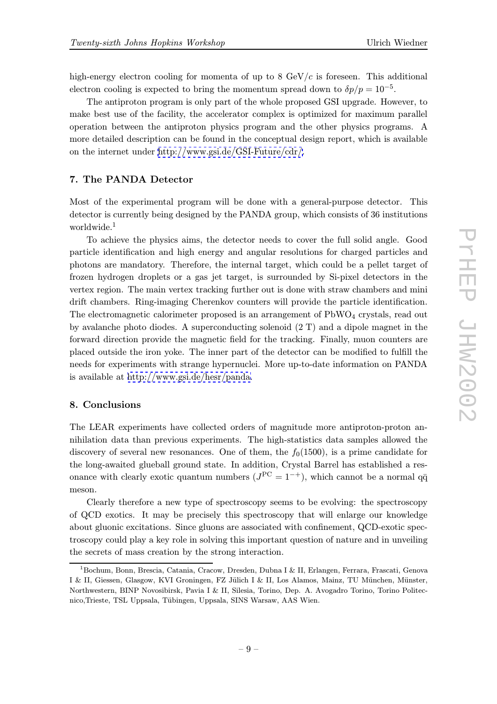high-energy electron cooling for momenta of up to 8  $GeV/c$  is foreseen. This additional electron cooling is expected to bring the momentum spread down to  $\delta p/p = 10^{-5}$ .

The antiproton program is only part of the whole proposed GSI upgrade. However, to make best use of the facility, the accelerator complex is optimized for maximum parallel operation between the antiproton physics program and the other physics programs. A more detailed description can be found in the conceptual design report, which is available on the internet under http://www.gsi.de/GSI-Future/cdr/.

## 7. The PANDA Detector

Most of the experim[ental](http://www.gsi.de/GSI-Future/cdr/) [program](http://www.gsi.de/GSI-Future/cdr/) [will](http://www.gsi.de/GSI-Future/cdr/) [be](http://www.gsi.de/GSI-Future/cdr/) [done](http://www.gsi.de/GSI-Future/cdr/) [with](http://www.gsi.de/GSI-Future/cdr/) [a](http://www.gsi.de/GSI-Future/cdr/) [g](http://www.gsi.de/GSI-Future/cdr/)eneral-purpose detector. This detector is currently being designed by the PANDA group, which consists of 36 institutions worldwide.<sup>1</sup>

To achieve the physics aims, the detector needs to cover the full solid angle. Good particle identification and high energy and angular resolutions for charged particles and photons are mandatory. Therefore, the internal target, which could be a pellet target of frozen hydrogen droplets or a gas jet target, is surrounded by Si-pixel detectors in the vertex region. The main vertex tracking further out is done with straw chambers and mini drift chambers. Ring-imaging Cherenkov counters will provide the particle identification. The electromagnetic calorimeter proposed is an arrangement of  $PbWO<sub>4</sub>$  crystals, read out by avalanche photo diodes. A superconducting solenoid (2 T) and a dipole magnet in the forward direction provide the magnetic field for the tracking. Finally, muon counters are placed outside the iron yoke. The inner part of the detector can be modified to fulfill the needs for experiments with strange hypernuclei. More up-to-date information on PANDA is available at http://www.gsi.de/hesr/panda.

## 8. Conclusions

The LEAR ex[periments](http://www.gsi.de/hesr/panda) [have](http://www.gsi.de/hesr/panda) [collected](http://www.gsi.de/hesr/panda) [order](http://www.gsi.de/hesr/panda)s of magnitude more antiproton-proton annihilation data than previous experiments. The high-statistics data samples allowed the discovery of several new resonances. One of them, the  $f_0(1500)$ , is a prime candidate for the long-awaited glueball ground state. In addition, Crystal Barrel has established a resonance with clearly exotic quantum numbers  $(J^{PC} = 1^{-+})$ , which cannot be a normal  $q\bar{q}$ meson.

Clearly therefore a new type of spectroscopy seems to be evolving: the spectroscopy of QCD exotics. It may be precisely this spectroscopy that will enlarge our knowledge about gluonic excitations. Since gluons are associated with confinement, QCD-exotic spectroscopy could play a key role in solving this important question of nature and in unveiling the secrets of mass creation by the strong interaction.

<sup>1</sup>Bochum, Bonn, Brescia, Catania, Cracow, Dresden, Dubna I & II, Erlangen, Ferrara, Frascati, Genova I & II, Giessen, Glasgow, KVI Groningen, FZ Jülich I & II, Los Alamos, Mainz, TU München, Münster, Northwestern, BINP Novosibirsk, Pavia I & II, Silesia, Torino, Dep. A. Avogadro Torino, Torino Politecnico, Trieste, TSL Uppsala, Tübingen, Uppsala, SINS Warsaw, AAS Wien.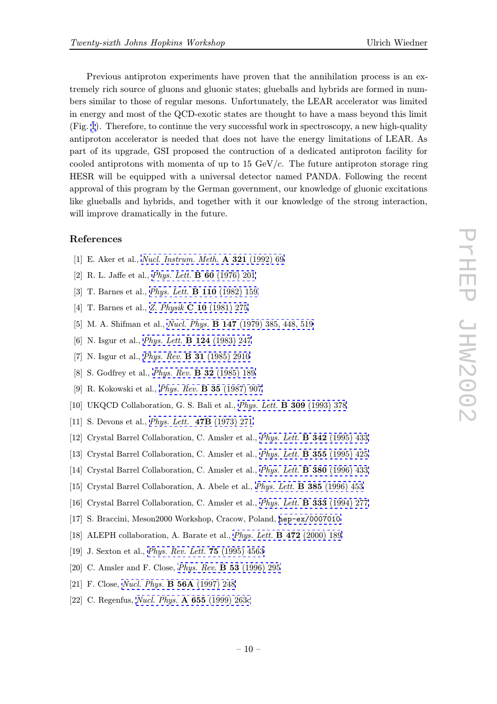<span id="page-9-0"></span>Previous antiproton experiments have proven that the annihilation process is an extremely rich source of gluons and gluonic states; glueballs and hybrids are formed in numbers similar to those of regular mesons. Unfortunately, the LEAR accelerator was limited in energy and most of the QCD-exotic states are thought to have a mass beyond this limit (Fig. 1). Therefore, to continue the very successful work in spectroscopy, a new high-quality antiproton accelerator is needed that does not have the energy limitations of LEAR. As part of its upgrade, GSI proposed the contruction of a dedicated antiproton facility for coole[d](#page-2-0) antiprotons with momenta of up to  $15 \text{ GeV}/c$ . The future antiproton storage ring HESR will be equipped with a universal detector named PANDA. Following the recent approval of this program by the German government, our knowledge of gluonic excitations like glueballs and hybrids, and together with it our knowledge of the strong interaction, will improve dramatically in the future.

### References

- [1] E. Aker et al., Nucl. Instrum. Meth. A 321 (1992) 69
- [2] R. L. Jaffe et al., Phys. Lett. B 60 (1976) 201
- [3] T. Barnes et al., *Phys. Lett.* **[B 110](http://www-spires.slac.stanford.edu/spires/find/hep/www?j=NUIMA%2CA 321%2C69)** (1982) 159
- [4] T. Barnes et al., Z. Physik C 10 (1981) 275
- [5] M. A. Shifman et al., [Nucl.](http://www-spires.slac.stanford.edu/spires/find/hep/www?j=PHLTA%2CB60%2C201) [Phys.](http://www-spires.slac.stanford.edu/spires/find/hep/www?j=PHLTA%2CB60%2C201) [B](http://www-spires.slac.stanford.edu/spires/find/hep/www?j=PHLTA%2CB110%2C159) [147](http://www-spires.slac.stanford.edu/spires/find/hep/www?j=PHLTA%2CB110%2C159) (1979) 385, 448, 519
- [6] N. Isgur et al., Phys. Lett. [B 124](http://www-spires.slac.stanford.edu/spires/find/hep/www?j=ZEPYA%2CC10%2C275) (1983) 247
- [7] N. Isgur et al., *Phys. Rev.* **[B](http://www-spires.slac.stanford.edu/spires/find/hep/www?j=NUPHA%2CB147%2C385, 448, 519) [31](http://www-spires.slac.stanford.edu/spires/find/hep/www?j=NUPHA%2CB147%2C385, 448, 519)** (1985) 2910
- [8] S. Godfrey et al., Phys. Rev. B 32 (1985) 189
- [9] R. Kokowski et al., [Phys.](http://www-spires.slac.stanford.edu/spires/find/hep/www?j=PHLTA%2CB124%2C247) [Rev.](http://www-spires.slac.stanford.edu/spires/find/hep/www?j=PHLTA%2CB124%2C247) B 35 (1987) 907
- [10] UKQCD Colla[boration,](http://www-spires.slac.stanford.edu/spires/find/hep/www?j=PHRVA%2CB31%2C2910) [G.](http://www-spires.slac.stanford.edu/spires/find/hep/www?j=PHRVA%2CB31%2C2910) [S.](http://www-spires.slac.stanford.edu/spires/find/hep/www?j=PHRVA%2CB31%2C2910) [Bali](http://www-spires.slac.stanford.edu/spires/find/hep/www?j=PHRVA%2CB31%2C2910) [et](http://www-spires.slac.stanford.edu/spires/find/hep/www?j=PHRVA%2CB31%2C2910) [al.,](http://www-spires.slac.stanford.edu/spires/find/hep/www?j=PHRVA%2CB31%2C2910) Phys. Lett. B 309 (1993) 378
- [11] S. Devons et al., [Phys.](http://www-spires.slac.stanford.edu/spires/find/hep/www?j=PHRVA%2CB32%2C189) [Lett.](http://www-spires.slac.stanford.edu/spires/find/hep/www?j=PHRVA%2CB32%2C189) 47B (1973) 271
- [12] Crystal Barrel Coll[aboration,](http://www-spires.slac.stanford.edu/spires/find/hep/www?j=PHRVA%2CB35%2C907) [C.](http://www-spires.slac.stanford.edu/spires/find/hep/www?j=PHRVA%2CB35%2C907) [Amsler](http://www-spires.slac.stanford.edu/spires/find/hep/www?j=PHRVA%2CB35%2C907) [et](http://www-spires.slac.stanford.edu/spires/find/hep/www?j=PHRVA%2CB35%2C907) [al.,](http://www-spires.slac.stanford.edu/spires/find/hep/www?j=PHRVA%2CB35%2C907) Phys. Lett. [B](http://www-spires.slac.stanford.edu/spires/find/hep/www?j=PHLTA%2CB309%2C378) [342](http://www-spires.slac.stanford.edu/spires/find/hep/www?j=PHLTA%2CB309%2C378) (1995) 433
- [13] Crystal Barrel Collaboration, C. Amsler et al., Phys. Lett. B 355 (1995) 425
- [14] Crystal Barrel C[ollaboration,](http://www-spires.slac.stanford.edu/spires/find/hep/www?j=PHLTA%2C47B%2C271) [C.](http://www-spires.slac.stanford.edu/spires/find/hep/www?j=PHLTA%2C47B%2C271) [Amsler](http://www-spires.slac.stanford.edu/spires/find/hep/www?j=PHLTA%2C47B%2C271) [et](http://www-spires.slac.stanford.edu/spires/find/hep/www?j=PHLTA%2C47B%2C271) [al.](http://www-spires.slac.stanford.edu/spires/find/hep/www?j=PHLTA%2C47B%2C271), Phys. Lett. [B](http://www-spires.slac.stanford.edu/spires/find/hep/www?j=PHLTA%2CB342%2C433) [380](http://www-spires.slac.stanford.edu/spires/find/hep/www?j=PHLTA%2CB342%2C433) (1996) 433
- [15] Crystal Barrel Collaboration, A. Abele et al., Phys. Lett. [B 385](http://www-spires.slac.stanford.edu/spires/find/hep/www?j=PHLTA%2CB355%2C425) (1996) 453
- [16] Crystal Barrel Collaboration, C. Amsler et al., Phys. Lett. B 333 (1994) 277
- [17] S. Braccini, Meson2000 Workshop, Cracow, Poland, [hep-ex/0007010](http://www-spires.slac.stanford.edu/spires/find/hep/www?j=PHLTA%2CB380%2C433)
- [18] ALEPH collaboration, A. Barate et al., Phys. Lett. [B](http://www-spires.slac.stanford.edu/spires/find/hep/www?j=PHLTA%2CB333%2C277) [472](http://www-spires.slac.stanford.edu/spires/find/hep/www?j=PHLTA%2CB333%2C277) [\(2000\)](http://www-spires.slac.stanford.edu/spires/find/hep/www?j=PHLTA%2CB385%2C453) [189](http://www-spires.slac.stanford.edu/spires/find/hep/www?j=PHLTA%2CB385%2C453)
- [19] J. Sexton et al., Phys. Rev. Lett. 75 (1995) 4563
- [20] C. Amsler and F. Close, Phys. Rev. B [53](http://www-spires.slac.stanford.edu/spires/find/hep/www?j=PHLTA%2CB472%2C189) (1996) 29[5](http://xxx.lanl.gov/abs/hep-ex/0007010)
- [21] F. Close, Nucl. Phys. [B](http://www-spires.slac.stanford.edu/spires/find/hep/www?j=PRLTA%2C75%2C4563) [56A](http://www-spires.slac.stanford.edu/spires/find/hep/www?j=PRLTA%2C75%2C4563) (1997) 248
- [22] C. Regenfus, Nucl. Phys. [A 655](http://www-spires.slac.stanford.edu/spires/find/hep/www?j=PHRVA%2CB53%2C295) (1999) 263c